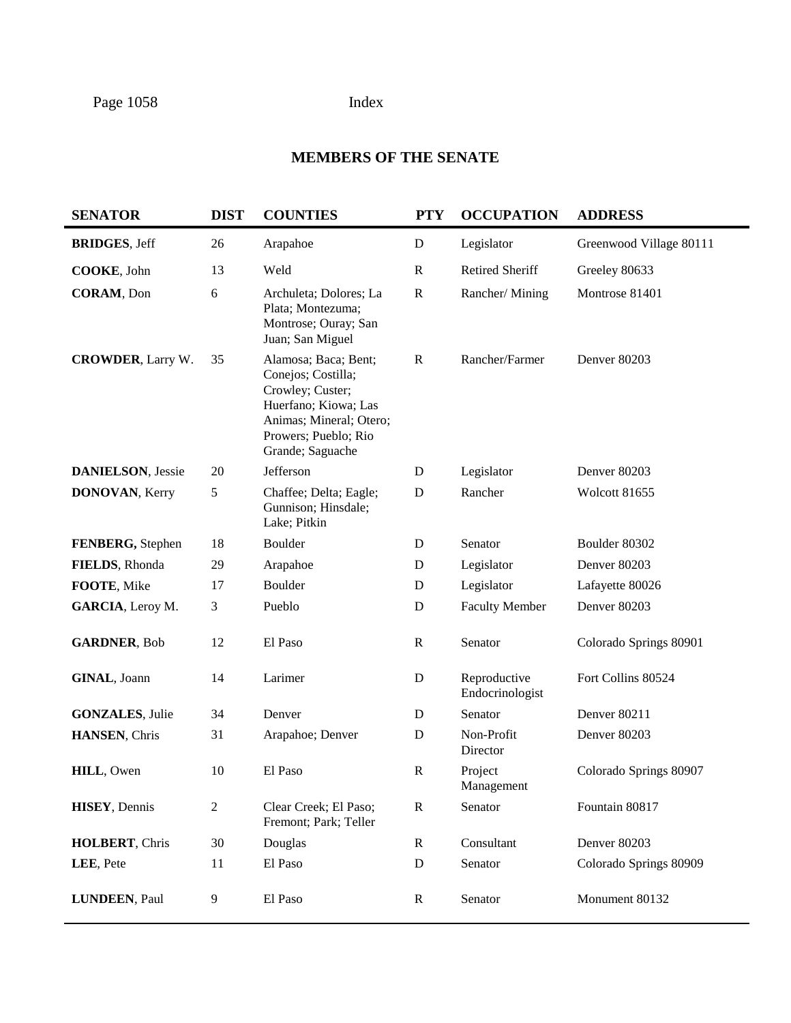# **MEMBERS OF THE SENATE**

| <b>SENATOR</b>            | <b>DIST</b>    | <b>COUNTIES</b>                                                                                                                                               | <b>PTY</b>   | <b>OCCUPATION</b>               | <b>ADDRESS</b>          |
|---------------------------|----------------|---------------------------------------------------------------------------------------------------------------------------------------------------------------|--------------|---------------------------------|-------------------------|
| <b>BRIDGES, Jeff</b>      | 26             | Arapahoe                                                                                                                                                      | D            | Legislator                      | Greenwood Village 80111 |
| COOKE, John               | 13             | Weld                                                                                                                                                          | $\mathbb{R}$ | Retired Sheriff                 | Greeley 80633           |
| <b>CORAM</b> , Don        | 6              | Archuleta; Dolores; La<br>Plata; Montezuma;<br>Montrose; Ouray; San<br>Juan; San Miguel                                                                       | $\mathbb{R}$ | Rancher/Mining                  | Montrose 81401          |
| <b>CROWDER, Larry W.</b>  | 35             | Alamosa; Baca; Bent;<br>Conejos; Costilla;<br>Crowley; Custer;<br>Huerfano; Kiowa; Las<br>Animas; Mineral; Otero;<br>Prowers; Pueblo; Rio<br>Grande; Saguache | $\mathbb{R}$ | Rancher/Farmer                  | Denver 80203            |
| <b>DANIELSON</b> , Jessie | 20             | Jefferson                                                                                                                                                     | D            | Legislator                      | Denver 80203            |
| <b>DONOVAN, Kerry</b>     | 5              | Chaffee; Delta; Eagle;<br>Gunnison; Hinsdale;<br>Lake; Pitkin                                                                                                 | D            | Rancher                         | Wolcott 81655           |
| FENBERG, Stephen          | 18             | Boulder                                                                                                                                                       | D            | Senator                         | Boulder 80302           |
| FIELDS, Rhonda            | 29             | Arapahoe                                                                                                                                                      | D            | Legislator                      | Denver 80203            |
| FOOTE, Mike               | 17             | Boulder                                                                                                                                                       | D            | Legislator                      | Lafayette 80026         |
| GARCIA, Leroy M.          | 3              | Pueblo                                                                                                                                                        | D            | <b>Faculty Member</b>           | Denver 80203            |
| <b>GARDNER, Bob</b>       | 12             | El Paso                                                                                                                                                       | $\mathbf R$  | Senator                         | Colorado Springs 80901  |
| GINAL, Joann              | 14             | Larimer                                                                                                                                                       | $\mathbf D$  | Reproductive<br>Endocrinologist | Fort Collins 80524      |
| <b>GONZALES, Julie</b>    | 34             | Denver                                                                                                                                                        | D            | Senator                         | Denver 80211            |
| HANSEN, Chris             | 31             | Arapahoe; Denver                                                                                                                                              | D            | Non-Profit<br>Director          | Denver 80203            |
| HILL, Owen                | 10             | El Paso                                                                                                                                                       | $\mathbf R$  | Project<br>Management           | Colorado Springs 80907  |
| <b>HISEY</b> , Dennis     | $\overline{c}$ | Clear Creek; El Paso;<br>Fremont; Park; Teller                                                                                                                | $\mathbb{R}$ | Senator                         | Fountain 80817          |
| HOLBERT, Chris            | 30             | Douglas                                                                                                                                                       | $\mathbf R$  | Consultant                      | Denver 80203            |
| LEE, Pete                 | 11             | El Paso                                                                                                                                                       | D            | Senator                         | Colorado Springs 80909  |
| <b>LUNDEEN, Paul</b>      | 9              | El Paso                                                                                                                                                       | $\mathbf R$  | Senator                         | Monument 80132          |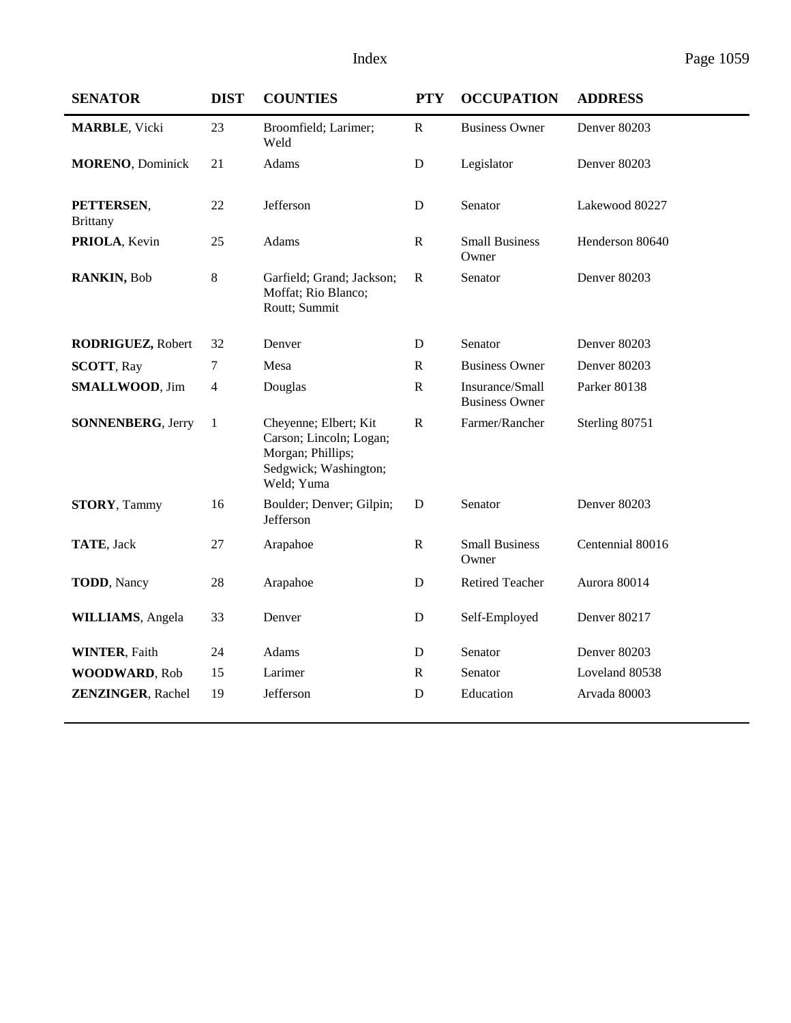| <b>SENATOR</b>                | <b>DIST</b>    | <b>COUNTIES</b>                                                                                              | <b>PTY</b>   | <b>OCCUPATION</b>                        | <b>ADDRESS</b>   |
|-------------------------------|----------------|--------------------------------------------------------------------------------------------------------------|--------------|------------------------------------------|------------------|
| <b>MARBLE, Vicki</b>          | 23             | Broomfield; Larimer;<br>Weld                                                                                 | $\mathbf R$  | <b>Business Owner</b>                    | Denver 80203     |
| <b>MORENO</b> , Dominick      | 21             | Adams                                                                                                        | D            | Legislator                               | Denver 80203     |
| PETTERSEN,<br><b>Brittany</b> | 22             | Jefferson                                                                                                    | D            | Senator                                  | Lakewood 80227   |
| PRIOLA, Kevin                 | 25             | Adams                                                                                                        | ${\bf R}$    | <b>Small Business</b><br>Owner           | Henderson 80640  |
| RANKIN, Bob                   | 8              | Garfield; Grand; Jackson;<br>Moffat; Rio Blanco;<br>Routt; Summit                                            | ${\bf R}$    | Senator                                  | Denver 80203     |
| RODRIGUEZ, Robert             | 32             | Denver                                                                                                       | $\mathbf D$  | Senator                                  | Denver 80203     |
| <b>SCOTT, Ray</b>             | 7              | Mesa                                                                                                         | R            | <b>Business Owner</b>                    | Denver 80203     |
| <b>SMALLWOOD, Jim</b>         | $\overline{4}$ | Douglas                                                                                                      | ${\bf R}$    | Insurance/Small<br><b>Business Owner</b> | Parker 80138     |
| <b>SONNENBERG, Jerry</b>      | $\mathbf{1}$   | Cheyenne; Elbert; Kit<br>Carson; Lincoln; Logan;<br>Morgan; Phillips;<br>Sedgwick; Washington;<br>Weld; Yuma | ${\bf R}$    | Farmer/Rancher                           | Sterling 80751   |
| <b>STORY, Tammy</b>           | 16             | Boulder; Denver; Gilpin;<br>Jefferson                                                                        | D            | Senator                                  | Denver 80203     |
| TATE, Jack                    | 27             | Arapahoe                                                                                                     | $\mathbb{R}$ | <b>Small Business</b><br>Owner           | Centennial 80016 |
| <b>TODD</b> , Nancy           | 28             | Arapahoe                                                                                                     | D            | <b>Retired Teacher</b>                   | Aurora 80014     |
| <b>WILLIAMS</b> , Angela      | 33             | Denver                                                                                                       | D            | Self-Employed                            | Denver 80217     |
| <b>WINTER, Faith</b>          | 24             | Adams                                                                                                        | D            | Senator                                  | Denver 80203     |
| <b>WOODWARD, Rob</b>          | 15             | Larimer                                                                                                      | $\mathbb{R}$ | Senator                                  | Loveland 80538   |
| <b>ZENZINGER, Rachel</b>      | 19             | Jefferson                                                                                                    | D            | Education                                | Arvada 80003     |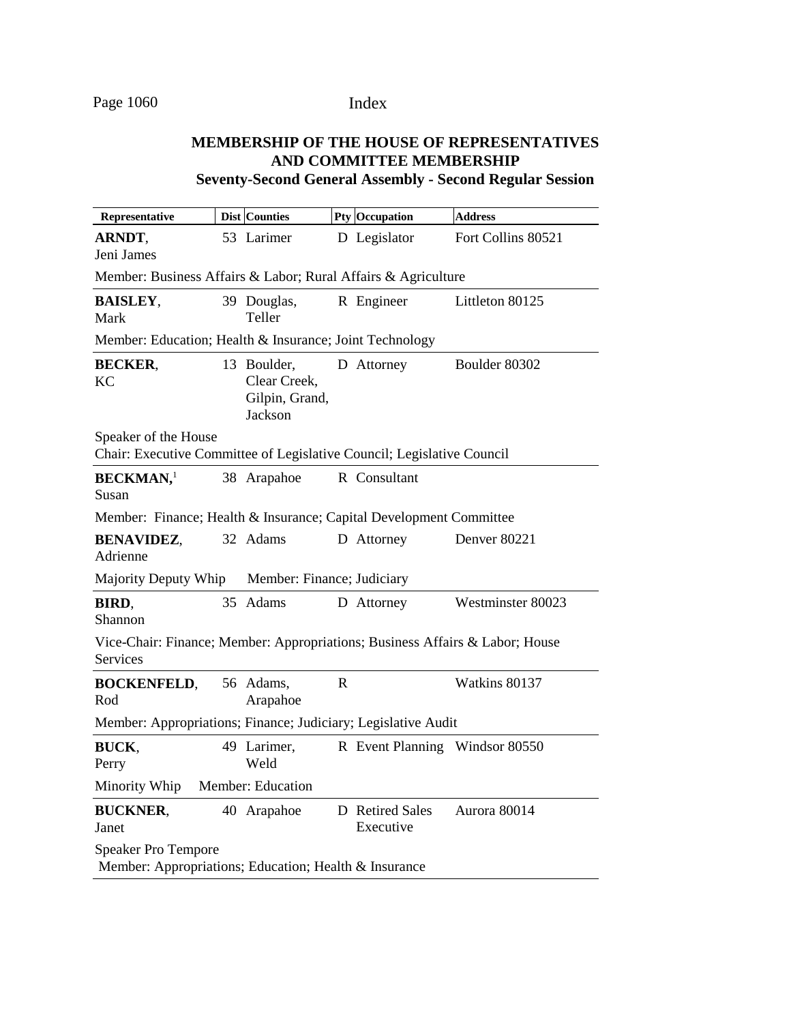# **MEMBERSHIP OF THE HOUSE OF REPRESENTATIVES AND COMMITTEE MEMBERSHIP**

**Seventy-Second General Assembly - Second Regular Session**

| Representative                                                                                  | <b>Dist Counties</b>                                     |             | <b>Pty Occupation</b>          | <b>Address</b>     |
|-------------------------------------------------------------------------------------------------|----------------------------------------------------------|-------------|--------------------------------|--------------------|
| ARNDT,<br>Jeni James                                                                            | 53 Larimer                                               |             | D Legislator                   | Fort Collins 80521 |
| Member: Business Affairs & Labor; Rural Affairs & Agriculture                                   |                                                          |             |                                |                    |
| <b>BAISLEY,</b><br>Mark                                                                         | 39 Douglas,<br>Teller                                    |             | R Engineer                     | Littleton 80125    |
| Member: Education; Health & Insurance; Joint Technology                                         |                                                          |             |                                |                    |
| <b>BECKER,</b><br>KC                                                                            | 13 Boulder,<br>Clear Creek,<br>Gilpin, Grand,<br>Jackson |             | D Attorney                     | Boulder 80302      |
| Speaker of the House<br>Chair: Executive Committee of Legislative Council; Legislative Council  |                                                          |             |                                |                    |
| <b>BECKMAN,</b> <sup>1</sup><br>Susan                                                           | 38 Arapahoe                                              |             | R Consultant                   |                    |
| Member: Finance; Health & Insurance; Capital Development Committee                              |                                                          |             |                                |                    |
| <b>BENAVIDEZ,</b><br>Adrienne                                                                   | 32 Adams                                                 |             | D Attorney                     | Denver 80221       |
| Majority Deputy Whip                                                                            | Member: Finance; Judiciary                               |             |                                |                    |
| BIRD,<br>Shannon                                                                                | 35 Adams                                                 |             | D Attorney                     | Westminster 80023  |
| Vice-Chair: Finance; Member: Appropriations; Business Affairs & Labor; House<br><b>Services</b> |                                                          |             |                                |                    |
| <b>BOCKENFELD,</b><br>Rod                                                                       | 56 Adams,<br>Arapahoe                                    | $\mathbf R$ |                                | Watkins 80137      |
| Member: Appropriations; Finance; Judiciary; Legislative Audit                                   |                                                          |             |                                |                    |
| BUCK,<br>Perry                                                                                  | 49 Larimer,<br>Weld                                      |             | R Event Planning Windsor 80550 |                    |
| Minority Whip                                                                                   | Member: Education                                        |             |                                |                    |
| <b>BUCKNER.</b><br>Janet                                                                        | 40 Arapahoe                                              |             | D Retired Sales<br>Executive   | Aurora 80014       |
| <b>Speaker Pro Tempore</b><br>Member: Appropriations; Education; Health & Insurance             |                                                          |             |                                |                    |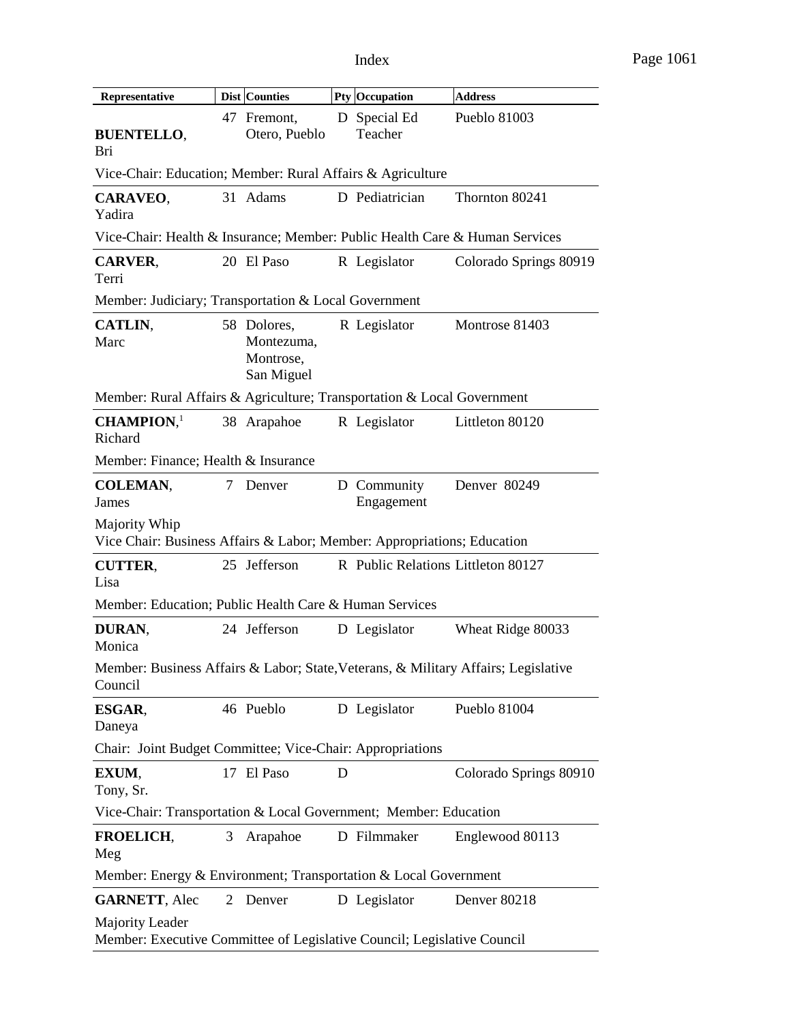| Representative                                                                                |                                                                             | Dist Counties                                        |   | Pty Occupation                     | <b>Address</b>         |  |  |  |
|-----------------------------------------------------------------------------------------------|-----------------------------------------------------------------------------|------------------------------------------------------|---|------------------------------------|------------------------|--|--|--|
| <b>BUENTELLO,</b><br>Bri                                                                      |                                                                             | 47 Fremont,<br>Otero, Pueblo                         |   | D Special Ed<br>Teacher            | Pueblo 81003           |  |  |  |
| Vice-Chair: Education; Member: Rural Affairs & Agriculture                                    |                                                                             |                                                      |   |                                    |                        |  |  |  |
| CARAVEO,<br>Yadira                                                                            |                                                                             | 31 Adams                                             |   | D Pediatrician                     | Thornton 80241         |  |  |  |
|                                                                                               | Vice-Chair: Health & Insurance; Member: Public Health Care & Human Services |                                                      |   |                                    |                        |  |  |  |
| <b>CARVER,</b><br>Terri                                                                       |                                                                             | 20 El Paso                                           |   | R Legislator                       | Colorado Springs 80919 |  |  |  |
| Member: Judiciary; Transportation & Local Government                                          |                                                                             |                                                      |   |                                    |                        |  |  |  |
| CATLIN,<br>Marc                                                                               |                                                                             | 58 Dolores,<br>Montezuma,<br>Montrose,<br>San Miguel |   | R Legislator                       | Montrose 81403         |  |  |  |
| Member: Rural Affairs & Agriculture; Transportation & Local Government                        |                                                                             |                                                      |   |                                    |                        |  |  |  |
| $CHAMPION1$<br>Richard                                                                        |                                                                             | 38 Arapahoe                                          |   | R Legislator                       | Littleton 80120        |  |  |  |
| Member: Finance; Health & Insurance                                                           |                                                                             |                                                      |   |                                    |                        |  |  |  |
| <b>COLEMAN,</b><br>James                                                                      | 7                                                                           | Denver                                               |   | D Community<br>Engagement          | Denver 80249           |  |  |  |
| Majority Whip<br>Vice Chair: Business Affairs & Labor; Member: Appropriations; Education      |                                                                             |                                                      |   |                                    |                        |  |  |  |
| <b>CUTTER,</b><br>Lisa                                                                        |                                                                             | 25 Jefferson                                         |   | R Public Relations Littleton 80127 |                        |  |  |  |
| Member: Education; Public Health Care & Human Services                                        |                                                                             |                                                      |   |                                    |                        |  |  |  |
| DURAN,<br>Monica                                                                              |                                                                             | 24 Jefferson                                         |   | D Legislator                       | Wheat Ridge 80033      |  |  |  |
| Member: Business Affairs & Labor; State, Veterans, & Military Affairs; Legislative<br>Council |                                                                             |                                                      |   |                                    |                        |  |  |  |
| ESGAR,<br>Daneya                                                                              |                                                                             | 46 Pueblo                                            |   | D Legislator                       | Pueblo 81004           |  |  |  |
| Chair: Joint Budget Committee; Vice-Chair: Appropriations                                     |                                                                             |                                                      |   |                                    |                        |  |  |  |
| EXUM,<br>Tony, Sr.                                                                            |                                                                             | 17 El Paso                                           | D |                                    | Colorado Springs 80910 |  |  |  |
| Vice-Chair: Transportation & Local Government; Member: Education                              |                                                                             |                                                      |   |                                    |                        |  |  |  |
| <b>FROELICH,</b><br>Meg                                                                       | 3                                                                           | Arapahoe                                             |   | D Filmmaker                        | Englewood 80113        |  |  |  |
| Member: Energy & Environment; Transportation & Local Government                               |                                                                             |                                                      |   |                                    |                        |  |  |  |
| <b>GARNETT, Alec</b>                                                                          | 2                                                                           | Denver                                               |   | D Legislator                       | Denver 80218           |  |  |  |
| Majority Leader<br>Member: Executive Committee of Legislative Council; Legislative Council    |                                                                             |                                                      |   |                                    |                        |  |  |  |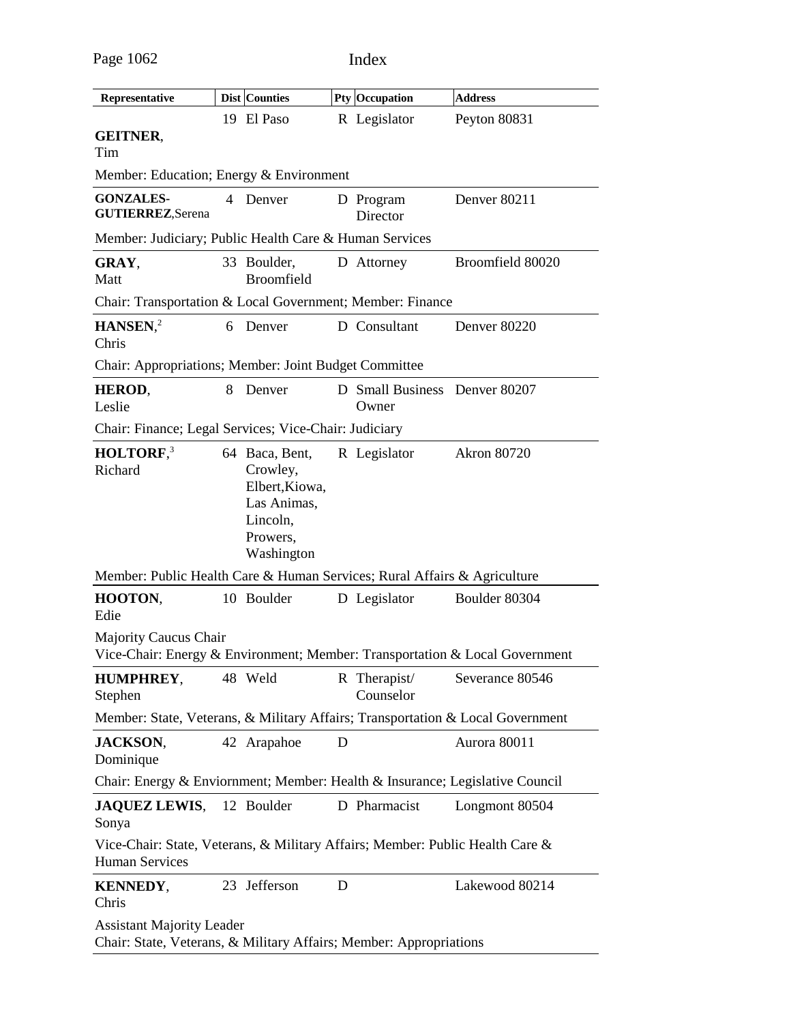|                                                                                                        |   | Dist Counties                                                                                     |   |                                        | <b>Address</b>                                                              |
|--------------------------------------------------------------------------------------------------------|---|---------------------------------------------------------------------------------------------------|---|----------------------------------------|-----------------------------------------------------------------------------|
| Representative                                                                                         |   | 19 El Paso                                                                                        |   | <b>Pty Occupation</b><br>R Legislator  |                                                                             |
| <b>GEITNER,</b><br>Tim                                                                                 |   |                                                                                                   |   |                                        | Peyton 80831                                                                |
| Member: Education; Energy & Environment                                                                |   |                                                                                                   |   |                                        |                                                                             |
| <b>GONZALES-</b><br><b>GUTIERREZ, Serena</b>                                                           | 4 | Denver                                                                                            |   | D Program<br>Director                  | Denver 80211                                                                |
| Member: Judiciary; Public Health Care & Human Services                                                 |   |                                                                                                   |   |                                        |                                                                             |
| GRAY,<br>Matt                                                                                          |   | 33 Boulder,<br><b>Broomfield</b>                                                                  |   | D Attorney                             | Broomfield 80020                                                            |
| Chair: Transportation & Local Government; Member: Finance                                              |   |                                                                                                   |   |                                        |                                                                             |
| HANSEN <sub>1</sub> <sup>2</sup><br>Chris                                                              |   | 6 Denver                                                                                          |   | D Consultant                           | Denver 80220                                                                |
| Chair: Appropriations; Member: Joint Budget Committee                                                  |   |                                                                                                   |   |                                        |                                                                             |
| HEROD,<br>Leslie                                                                                       | 8 | Denver                                                                                            |   | D Small Business Denver 80207<br>Owner |                                                                             |
| Chair: Finance; Legal Services; Vice-Chair: Judiciary                                                  |   |                                                                                                   |   |                                        |                                                                             |
| HOLTORF, <sup>3</sup><br>Richard                                                                       |   | 64 Baca, Bent,<br>Crowley,<br>Elbert, Kiowa,<br>Las Animas,<br>Lincoln,<br>Prowers,<br>Washington |   | R Legislator                           | <b>Akron 80720</b>                                                          |
| Member: Public Health Care & Human Services; Rural Affairs & Agriculture                               |   |                                                                                                   |   |                                        |                                                                             |
| HOOTON,<br>Edie                                                                                        |   | 10 Boulder                                                                                        |   | D Legislator                           | Boulder 80304                                                               |
| <b>Majority Caucus Chair</b>                                                                           |   |                                                                                                   |   |                                        | Vice-Chair: Energy & Environment; Member: Transportation & Local Government |
| <b>HUMPHREY,</b> 48 Weld R Therapist/ Severance 80546<br>Stephen                                       |   |                                                                                                   |   | Counselor                              |                                                                             |
| Member: State, Veterans, & Military Affairs; Transportation & Local Government                         |   |                                                                                                   |   |                                        |                                                                             |
| <b>JACKSON,</b><br>Dominique                                                                           |   | 42 Arapahoe                                                                                       | D |                                        | Aurora 80011                                                                |
| Chair: Energy & Enviornment; Member: Health & Insurance; Legislative Council                           |   |                                                                                                   |   |                                        |                                                                             |
| JAQUEZ LEWIS, 12 Boulder<br>Sonya                                                                      |   |                                                                                                   |   | D Pharmacist                           | Longmont 80504                                                              |
| Vice-Chair: State, Veterans, & Military Affairs; Member: Public Health Care &<br><b>Human Services</b> |   |                                                                                                   |   |                                        |                                                                             |
| <b>KENNEDY,</b><br>Chris                                                                               |   | 23 Jefferson                                                                                      | D |                                        | Lakewood 80214                                                              |
| <b>Assistant Majority Leader</b><br>Chair: State, Veterans, & Military Affairs; Member: Appropriations |   |                                                                                                   |   |                                        |                                                                             |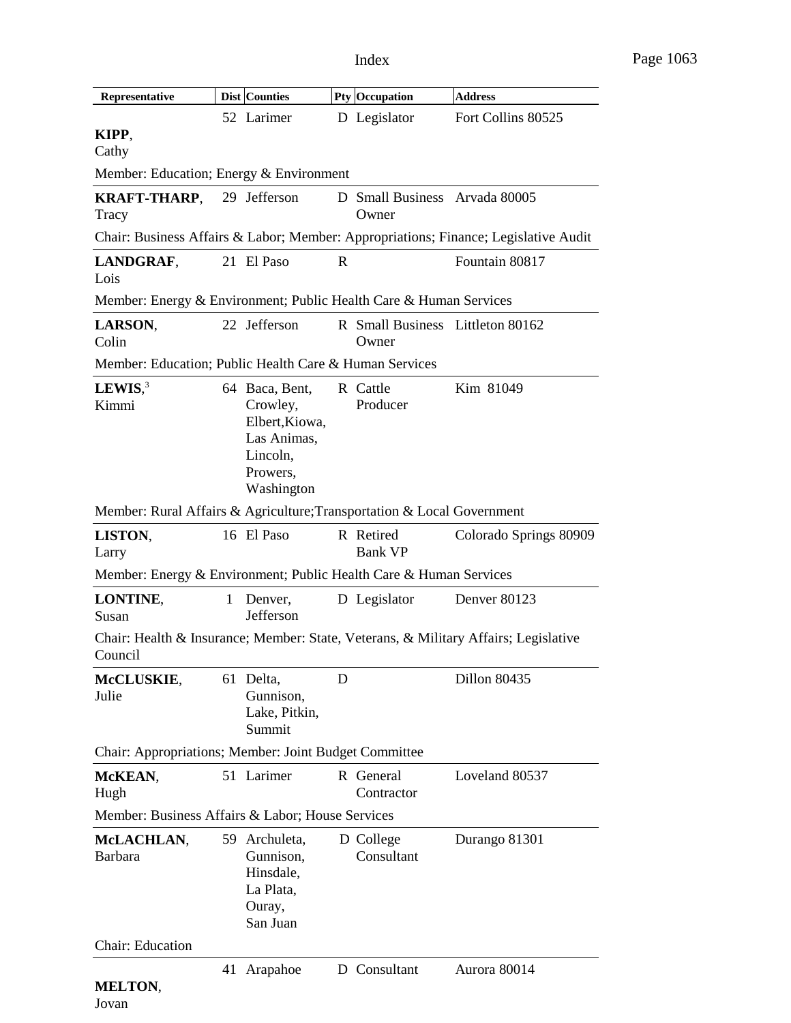| Representative                                                         |              | Dist Counties                                                                                     |             | <b>Pty Occupation</b>                     | <b>Address</b>                                                                      |  |
|------------------------------------------------------------------------|--------------|---------------------------------------------------------------------------------------------------|-------------|-------------------------------------------|-------------------------------------------------------------------------------------|--|
|                                                                        |              | 52 Larimer                                                                                        |             | D Legislator                              | Fort Collins 80525                                                                  |  |
| KIPP,<br>Cathy                                                         |              |                                                                                                   |             |                                           |                                                                                     |  |
| Member: Education; Energy & Environment                                |              |                                                                                                   |             |                                           |                                                                                     |  |
| KRAFT-THARP, 29 Jefferson<br>Tracy                                     |              |                                                                                                   |             | D Small Business Arvada 80005<br>Owner    |                                                                                     |  |
|                                                                        |              |                                                                                                   |             |                                           | Chair: Business Affairs & Labor; Member: Appropriations; Finance; Legislative Audit |  |
| LANDGRAF,<br>Lois                                                      |              | 21 El Paso                                                                                        | $\mathbf R$ |                                           | Fountain 80817                                                                      |  |
| Member: Energy & Environment; Public Health Care & Human Services      |              |                                                                                                   |             |                                           |                                                                                     |  |
| LARSON,<br>Colin                                                       |              | 22 Jefferson                                                                                      |             | R Small Business Littleton 80162<br>Owner |                                                                                     |  |
| Member: Education; Public Health Care & Human Services                 |              |                                                                                                   |             |                                           |                                                                                     |  |
| LEWIS, $3$<br>Kimmi                                                    |              | 64 Baca, Bent,<br>Crowley,<br>Elbert, Kiowa,<br>Las Animas,<br>Lincoln,<br>Prowers,<br>Washington |             | R Cattle<br>Producer                      | Kim 81049                                                                           |  |
| Member: Rural Affairs & Agriculture; Transportation & Local Government |              |                                                                                                   |             |                                           |                                                                                     |  |
| LISTON,<br>Larry                                                       |              | 16 El Paso                                                                                        |             | R Retired<br><b>Bank VP</b>               | Colorado Springs 80909                                                              |  |
| Member: Energy & Environment; Public Health Care & Human Services      |              |                                                                                                   |             |                                           |                                                                                     |  |
| LONTINE,<br>Susan                                                      | $\mathbf{1}$ | Denver,<br>Jefferson                                                                              |             | D Legislator                              | Denver 80123                                                                        |  |
| Council                                                                |              |                                                                                                   |             |                                           | Chair: Health & Insurance; Member: State, Veterans, & Military Affairs; Legislative |  |
| McCLUSKIE,<br>Julie                                                    |              | 61 Delta,<br>Gunnison,<br>Lake, Pitkin,<br>Summit                                                 | D           |                                           | Dillon 80435                                                                        |  |
| Chair: Appropriations; Member: Joint Budget Committee                  |              |                                                                                                   |             |                                           |                                                                                     |  |
| McKEAN,<br>Hugh                                                        |              | 51 Larimer                                                                                        |             | R General<br>Contractor                   | Loveland 80537                                                                      |  |
| Member: Business Affairs & Labor; House Services                       |              |                                                                                                   |             |                                           |                                                                                     |  |
| McLACHLAN,<br><b>Barbara</b>                                           | 59           | Archuleta,<br>Gunnison,<br>Hinsdale,<br>La Plata,<br>Ouray,<br>San Juan                           |             | D College<br>Consultant                   | Durango 81301                                                                       |  |
| Chair: Education                                                       |              |                                                                                                   |             |                                           |                                                                                     |  |
| <b>MELTON,</b>                                                         |              | 41 Arapahoe                                                                                       |             | D Consultant                              | Aurora 80014                                                                        |  |

Jovan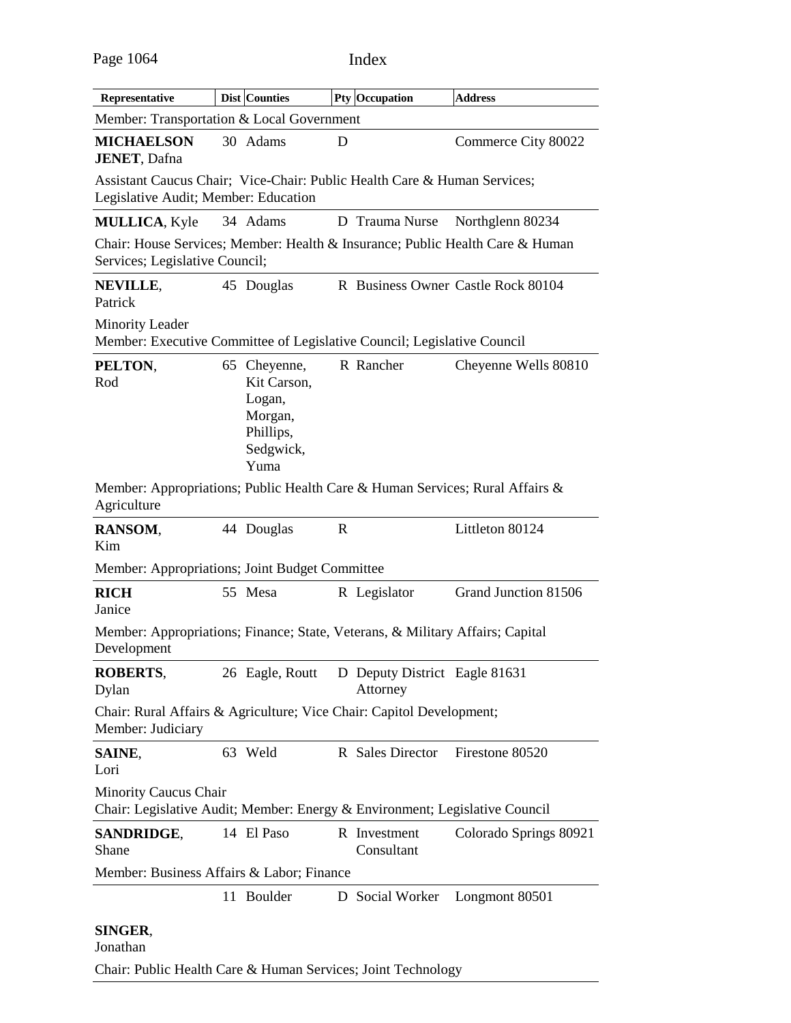| Representative                                                                                                   | Dist Counties                                                                      |   | Pty Occupation                            | <b>Address</b>                                                                |
|------------------------------------------------------------------------------------------------------------------|------------------------------------------------------------------------------------|---|-------------------------------------------|-------------------------------------------------------------------------------|
| Member: Transportation & Local Government                                                                        |                                                                                    |   |                                           |                                                                               |
| <b>MICHAELSON</b><br><b>JENET, Dafna</b>                                                                         | 30 Adams                                                                           | D |                                           | Commerce City 80022                                                           |
| Assistant Caucus Chair; Vice-Chair: Public Health Care & Human Services;<br>Legislative Audit; Member: Education |                                                                                    |   |                                           |                                                                               |
| <b>MULLICA, Kyle</b>                                                                                             | 34 Adams                                                                           |   | D Trauma Nurse                            | Northglenn 80234                                                              |
| Services; Legislative Council;                                                                                   |                                                                                    |   |                                           | Chair: House Services; Member: Health & Insurance; Public Health Care & Human |
| NEVILLE,<br>Patrick                                                                                              | 45 Douglas                                                                         |   |                                           | R Business Owner Castle Rock 80104                                            |
| <b>Minority Leader</b><br>Member: Executive Committee of Legislative Council; Legislative Council                |                                                                                    |   |                                           |                                                                               |
| PELTON,<br>Rod                                                                                                   | 65 Cheyenne,<br>Kit Carson,<br>Logan,<br>Morgan,<br>Phillips,<br>Sedgwick,<br>Yuma |   | R Rancher                                 | Cheyenne Wells 80810                                                          |
| Member: Appropriations; Public Health Care & Human Services; Rural Affairs &<br>Agriculture                      |                                                                                    |   |                                           |                                                                               |
| RANSOM,<br>Kim                                                                                                   | 44 Douglas                                                                         | R |                                           | Littleton 80124                                                               |
| Member: Appropriations; Joint Budget Committee                                                                   |                                                                                    |   |                                           |                                                                               |
| <b>RICH</b><br>Janice                                                                                            | 55 Mesa                                                                            |   | R Legislator                              | Grand Junction 81506                                                          |
| Member: Appropriations; Finance; State, Veterans, & Military Affairs; Capital<br>Development                     |                                                                                    |   |                                           |                                                                               |
| <b>ROBERTS,</b><br>Dylan                                                                                         | 26 Eagle, Routt                                                                    |   | D Deputy District Eagle 81631<br>Attorney |                                                                               |
| Chair: Rural Affairs & Agriculture; Vice Chair: Capitol Development;<br>Member: Judiciary                        |                                                                                    |   |                                           |                                                                               |
| SAINE,<br>Lori                                                                                                   | 63 Weld                                                                            |   | R Sales Director                          | Firestone 80520                                                               |
| <b>Minority Caucus Chair</b><br>Chair: Legislative Audit; Member: Energy & Environment; Legislative Council      |                                                                                    |   |                                           |                                                                               |
| <b>SANDRIDGE,</b><br>Shane                                                                                       | 14 El Paso                                                                         |   | R Investment<br>Consultant                | Colorado Springs 80921                                                        |
| Member: Business Affairs & Labor; Finance                                                                        |                                                                                    |   |                                           |                                                                               |
|                                                                                                                  | 11 Boulder                                                                         |   | D Social Worker                           | Longmont 80501                                                                |
| SINGER,<br>Jonathan                                                                                              |                                                                                    |   |                                           |                                                                               |

Chair: Public Health Care & Human Services; Joint Technology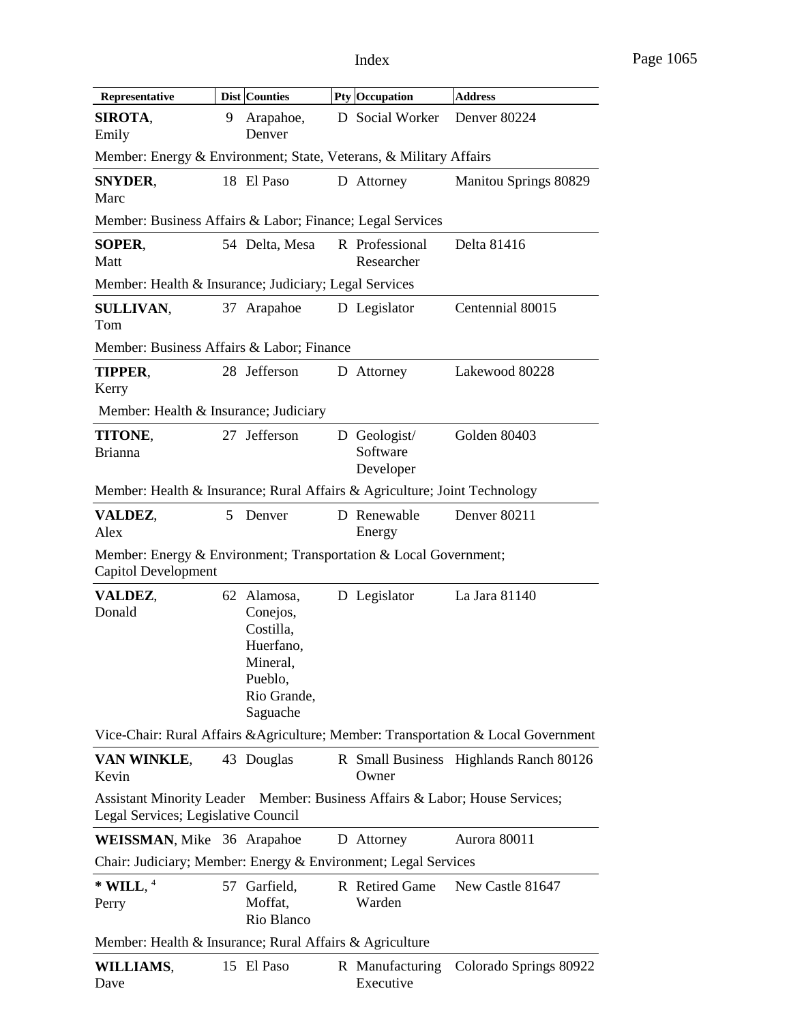| Representative                                                                                                     |   | <b>Dist Counties</b>                                                                                |  | Pty Occupation                        | <b>Address</b>                                                                     |
|--------------------------------------------------------------------------------------------------------------------|---|-----------------------------------------------------------------------------------------------------|--|---------------------------------------|------------------------------------------------------------------------------------|
| SIROTA.<br>Emily                                                                                                   | 9 | Arapahoe,<br>Denver                                                                                 |  | D Social Worker                       | Denver 80224                                                                       |
| Member: Energy & Environment; State, Veterans, & Military Affairs                                                  |   |                                                                                                     |  |                                       |                                                                                    |
| <b>SNYDER,</b><br>Marc                                                                                             |   | 18 El Paso                                                                                          |  | D Attorney                            | Manitou Springs 80829                                                              |
| Member: Business Affairs & Labor; Finance; Legal Services                                                          |   |                                                                                                     |  |                                       |                                                                                    |
| SOPER,<br>Matt                                                                                                     |   | 54 Delta, Mesa                                                                                      |  | R Professional<br>Researcher          | Delta 81416                                                                        |
| Member: Health & Insurance; Judiciary; Legal Services                                                              |   |                                                                                                     |  |                                       |                                                                                    |
| <b>SULLIVAN,</b><br>Tom                                                                                            |   | 37 Arapahoe                                                                                         |  | D Legislator                          | Centennial 80015                                                                   |
| Member: Business Affairs & Labor; Finance                                                                          |   |                                                                                                     |  |                                       |                                                                                    |
| <b>TIPPER,</b><br>Kerry                                                                                            |   | 28 Jefferson                                                                                        |  | D Attorney                            | Lakewood 80228                                                                     |
| Member: Health & Insurance; Judiciary                                                                              |   |                                                                                                     |  |                                       |                                                                                    |
| TITONE,<br><b>Brianna</b>                                                                                          |   | 27 Jefferson                                                                                        |  | D Geologist/<br>Software<br>Developer | Golden 80403                                                                       |
| Member: Health & Insurance; Rural Affairs & Agriculture; Joint Technology                                          |   |                                                                                                     |  |                                       |                                                                                    |
| VALDEZ,<br>Alex                                                                                                    | 5 | Denver                                                                                              |  | D Renewable<br>Energy                 | Denver 80211                                                                       |
| Member: Energy & Environment; Transportation & Local Government;<br><b>Capitol Development</b>                     |   |                                                                                                     |  |                                       |                                                                                    |
| VALDEZ,<br>Donald                                                                                                  |   | 62 Alamosa,<br>Conejos,<br>Costilla,<br>Huerfano,<br>Mineral.<br>Pueblo,<br>Rio Grande,<br>Saguache |  | D Legislator                          | La Jara 81140                                                                      |
|                                                                                                                    |   |                                                                                                     |  |                                       | Vice-Chair: Rural Affairs & Agriculture; Member: Transportation & Local Government |
| VAN WINKLE,<br>Kevin                                                                                               |   | 43 Douglas                                                                                          |  | Owner                                 | R Small Business Highlands Ranch 80126                                             |
| Assistant Minority Leader Member: Business Affairs & Labor; House Services;<br>Legal Services; Legislative Council |   |                                                                                                     |  |                                       |                                                                                    |
| <b>WEISSMAN, Mike 36 Arapahoe</b>                                                                                  |   |                                                                                                     |  | D Attorney                            | Aurora 80011                                                                       |
| Chair: Judiciary; Member: Energy & Environment; Legal Services                                                     |   |                                                                                                     |  |                                       |                                                                                    |
| $*$ WILL, $4$<br>Perry                                                                                             |   | 57 Garfield,<br>Moffat,<br>Rio Blanco                                                               |  | R Retired Game<br>Warden              | New Castle 81647                                                                   |
| Member: Health & Insurance; Rural Affairs & Agriculture                                                            |   |                                                                                                     |  |                                       |                                                                                    |
| WILLIAMS,<br>Dave                                                                                                  |   | 15 El Paso                                                                                          |  | R Manufacturing<br>Executive          | Colorado Springs 80922                                                             |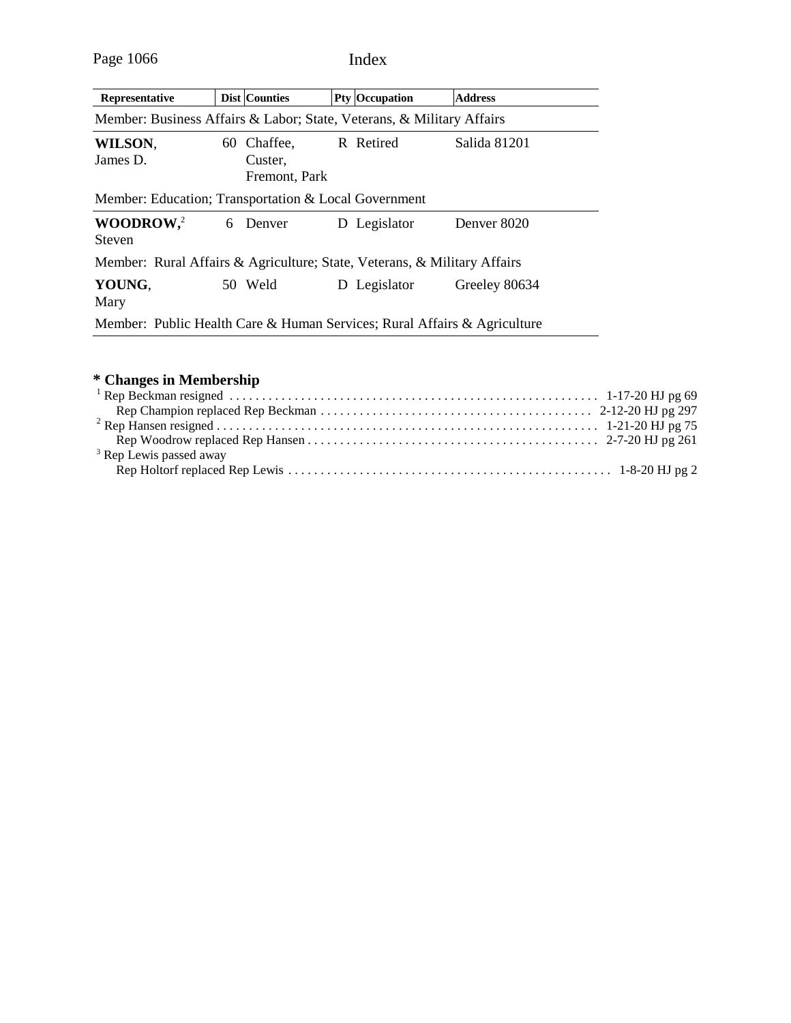| Representative                                                           |  | <b>Dist Counties</b>                    |  | <b>Pty Occupation</b> | <b>Address</b> |  |
|--------------------------------------------------------------------------|--|-----------------------------------------|--|-----------------------|----------------|--|
| Member: Business Affairs & Labor; State, Veterans, & Military Affairs    |  |                                         |  |                       |                |  |
| WILSON,<br>James D.                                                      |  | 60 Chaffee,<br>Custer,<br>Fremont, Park |  | R Retired             | Salida 81201   |  |
| Member: Education; Transportation & Local Government                     |  |                                         |  |                       |                |  |
| WOODROW <sub>1</sub> <sup>2</sup><br><b>Steven</b>                       |  | 6 Denver                                |  | D Legislator          | Denver 8020    |  |
| Member: Rural Affairs & Agriculture; State, Veterans, & Military Affairs |  |                                         |  |                       |                |  |
| YOUNG.<br>Mary                                                           |  | 50 Weld                                 |  | D Legislator          | Greeley 80634  |  |
| Member: Public Health Care & Human Services; Rural Affairs & Agriculture |  |                                         |  |                       |                |  |

# **\* Changes in Membership**

| <sup>3</sup> Rep Lewis passed away |  |
|------------------------------------|--|
|                                    |  |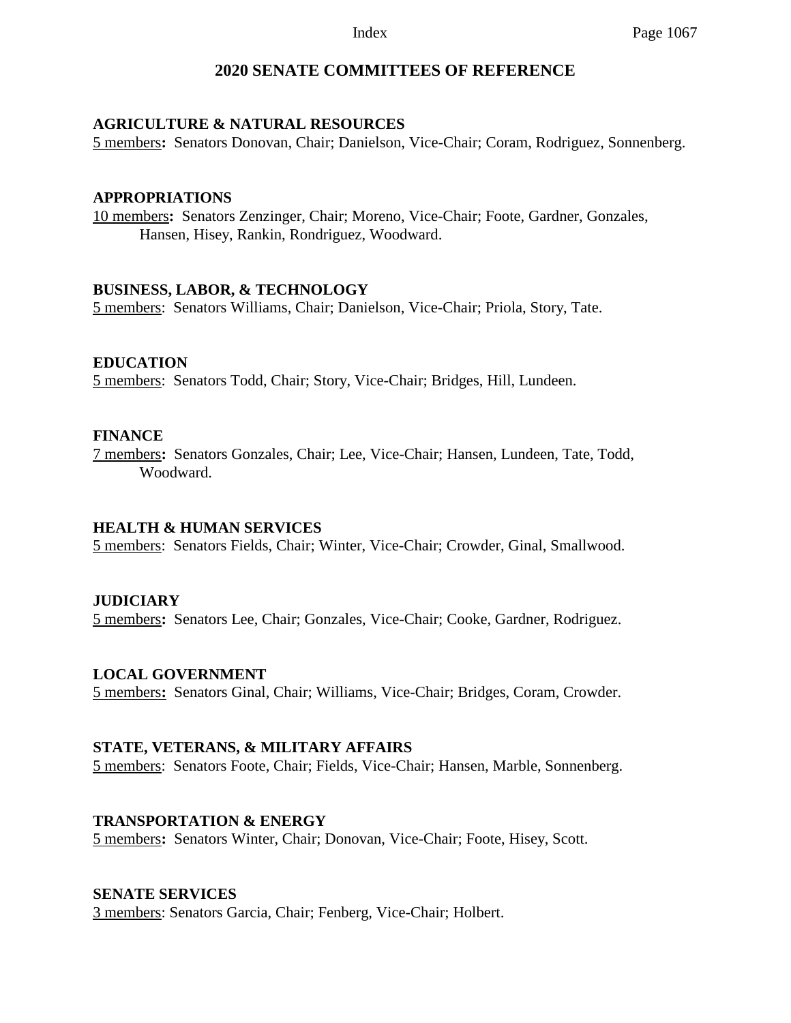# **2020 SENATE COMMITTEES OF REFERENCE**

## **AGRICULTURE & NATURAL RESOURCES**

5 members**:** Senators Donovan, Chair; Danielson, Vice-Chair; Coram, Rodriguez, Sonnenberg.

#### **APPROPRIATIONS**

10 members**:** Senators Zenzinger, Chair; Moreno, Vice-Chair; Foote, Gardner, Gonzales, Hansen, Hisey, Rankin, Rondriguez, Woodward.

#### **BUSINESS, LABOR, & TECHNOLOGY**

5 members: Senators Williams, Chair; Danielson, Vice-Chair; Priola, Story, Tate.

### **EDUCATION**

5 members: Senators Todd, Chair; Story, Vice-Chair; Bridges, Hill, Lundeen.

### **FINANCE**

7 members**:** Senators Gonzales, Chair; Lee, Vice-Chair; Hansen, Lundeen, Tate, Todd, Woodward.

#### **HEALTH & HUMAN SERVICES**

5 members: Senators Fields, Chair; Winter, Vice-Chair; Crowder, Ginal, Smallwood.

# **JUDICIARY**

5 members**:** Senators Lee, Chair; Gonzales, Vice-Chair; Cooke, Gardner, Rodriguez.

# **LOCAL GOVERNMENT**

5 members**:** Senators Ginal, Chair; Williams, Vice-Chair; Bridges, Coram, Crowder.

#### **STATE, VETERANS, & MILITARY AFFAIRS**

5 members: Senators Foote, Chair; Fields, Vice-Chair; Hansen, Marble, Sonnenberg.

#### **TRANSPORTATION & ENERGY**

5 members**:** Senators Winter, Chair; Donovan, Vice-Chair; Foote, Hisey, Scott.

#### **SENATE SERVICES**

3 members: Senators Garcia, Chair; Fenberg, Vice-Chair; Holbert.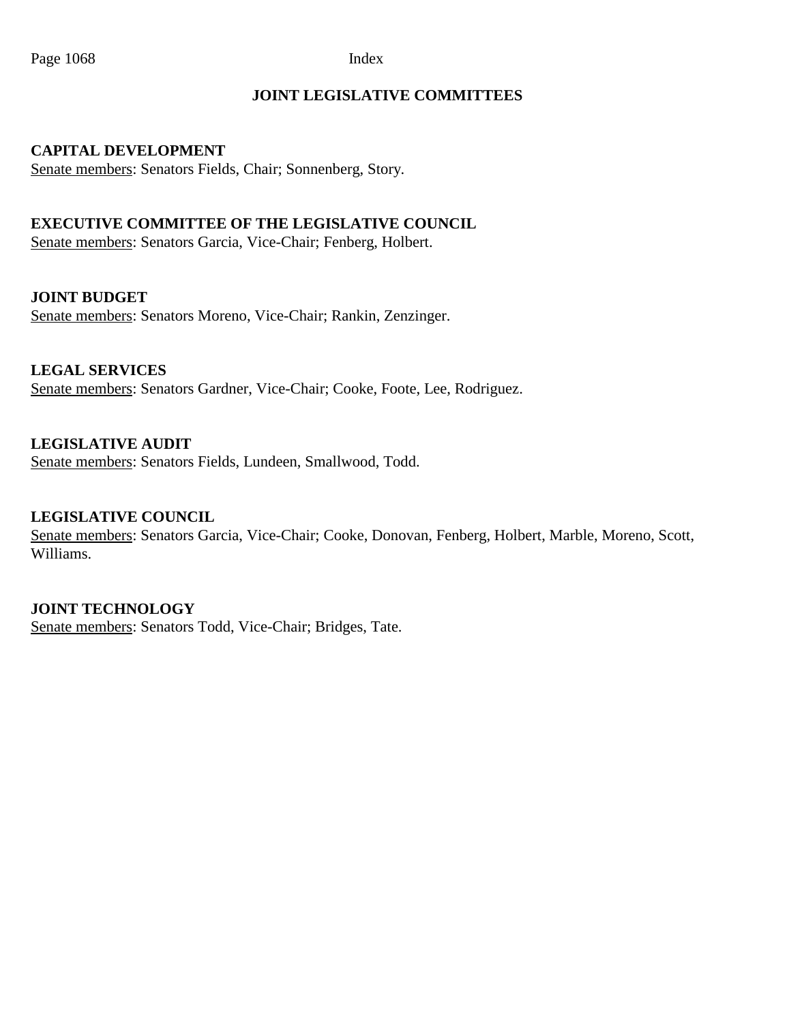# **JOINT LEGISLATIVE COMMITTEES**

## **CAPITAL DEVELOPMENT**

Senate members: Senators Fields, Chair; Sonnenberg, Story.

# **EXECUTIVE COMMITTEE OF THE LEGISLATIVE COUNCIL**

Senate members: Senators Garcia, Vice-Chair; Fenberg, Holbert.

### **JOINT BUDGET**

Senate members: Senators Moreno, Vice-Chair; Rankin, Zenzinger.

# **LEGAL SERVICES**

Senate members: Senators Gardner, Vice-Chair; Cooke, Foote, Lee, Rodriguez.

# **LEGISLATIVE AUDIT**

Senate members: Senators Fields, Lundeen, Smallwood, Todd.

# **LEGISLATIVE COUNCIL**

Senate members: Senators Garcia, Vice-Chair; Cooke, Donovan, Fenberg, Holbert, Marble, Moreno, Scott, Williams.

#### **JOINT TECHNOLOGY**

Senate members: Senators Todd, Vice-Chair; Bridges, Tate.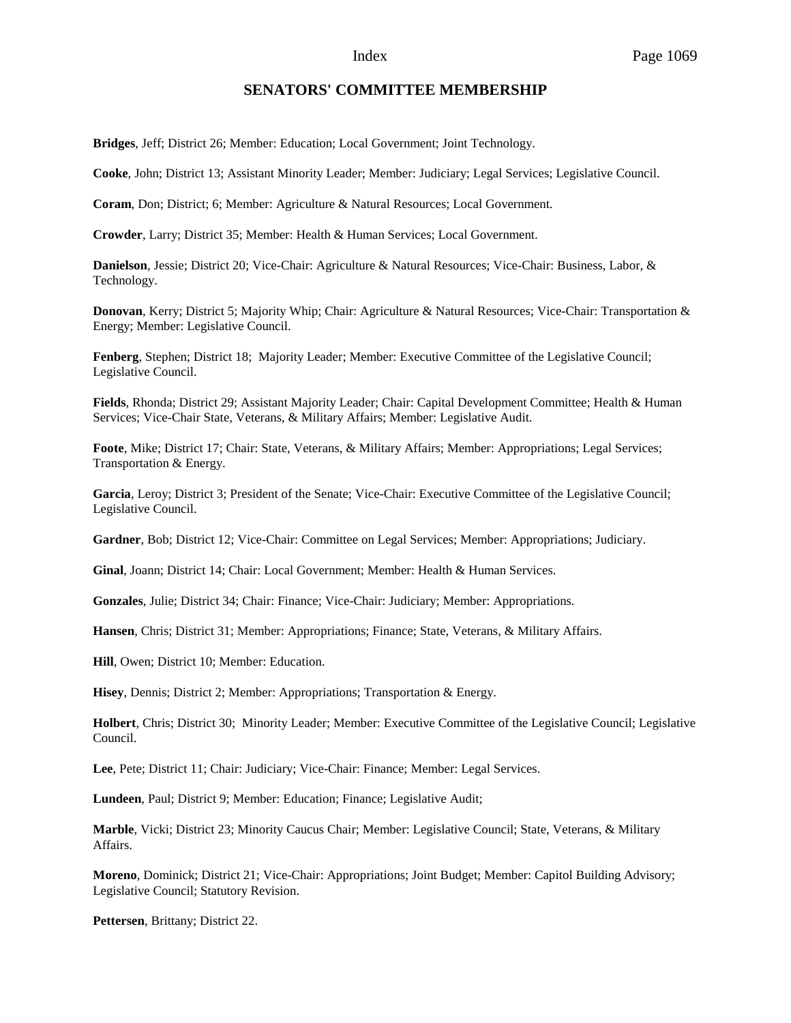#### **SENATORS' COMMITTEE MEMBERSHIP**

**Bridges**, Jeff; District 26; Member: Education; Local Government; Joint Technology.

**Cooke**, John; District 13; Assistant Minority Leader; Member: Judiciary; Legal Services; Legislative Council.

**Coram**, Don; District; 6; Member: Agriculture & Natural Resources; Local Government.

**Crowder**, Larry; District 35; Member: Health & Human Services; Local Government.

**Danielson**, Jessie; District 20; Vice-Chair: Agriculture & Natural Resources; Vice-Chair: Business, Labor, & Technology.

**Donovan**, Kerry; District 5; Majority Whip; Chair: Agriculture & Natural Resources; Vice-Chair: Transportation & Energy; Member: Legislative Council.

**Fenberg**, Stephen; District 18; Majority Leader; Member: Executive Committee of the Legislative Council; Legislative Council.

**Fields**, Rhonda; District 29; Assistant Majority Leader; Chair: Capital Development Committee; Health & Human Services; Vice-Chair State, Veterans, & Military Affairs; Member: Legislative Audit.

**Foote**, Mike; District 17; Chair: State, Veterans, & Military Affairs; Member: Appropriations; Legal Services; Transportation & Energy.

**Garcia**, Leroy; District 3; President of the Senate; Vice-Chair: Executive Committee of the Legislative Council; Legislative Council.

**Gardner**, Bob; District 12; Vice-Chair: Committee on Legal Services; Member: Appropriations; Judiciary.

**Ginal**, Joann; District 14; Chair: Local Government; Member: Health & Human Services.

**Gonzales**, Julie; District 34; Chair: Finance; Vice-Chair: Judiciary; Member: Appropriations.

**Hansen**, Chris; District 31; Member: Appropriations; Finance; State, Veterans, & Military Affairs.

**Hill**, Owen; District 10; Member: Education.

**Hisey**, Dennis; District 2; Member: Appropriations; Transportation & Energy.

**Holbert**, Chris; District 30; Minority Leader; Member: Executive Committee of the Legislative Council; Legislative Council.

**Lee**, Pete; District 11; Chair: Judiciary; Vice-Chair: Finance; Member: Legal Services.

**Lundeen**, Paul; District 9; Member: Education; Finance; Legislative Audit;

**Marble**, Vicki; District 23; Minority Caucus Chair; Member: Legislative Council; State, Veterans, & Military Affairs.

**Moreno**, Dominick; District 21; Vice-Chair: Appropriations; Joint Budget; Member: Capitol Building Advisory; Legislative Council; Statutory Revision.

**Pettersen**, Brittany; District 22.